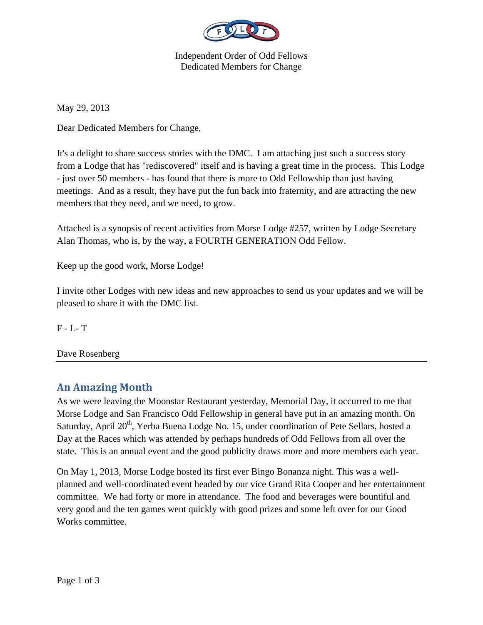

Independent Order of Odd Fellows Dedicated Members for Change

May 29, 2013

Dear Dedicated Members for Change,

It's a delight to share success stories with the DMC. I am attaching just such a success story from a Lodge that has "rediscovered" itself and is having a great time in the process. This Lodge - just over 50 members - has found that there is more to Odd Fellowship than just having meetings. And as a result, they have put the fun back into fraternity, and are attracting the new members that they need, and we need, to grow.

Attached is a synopsis of recent activities from Morse Lodge #257, written by Lodge Secretary Alan Thomas, who is, by the way, a FOURTH GENERATION Odd Fellow.

Keep up the good work, Morse Lodge!

I invite other Lodges with new ideas and new approaches to send us your updates and we will be pleased to share it with the DMC list.

F - L- T

Dave Rosenberg

## **An Amazing Month**

As we were leaving the Moonstar Restaurant yesterday, Memorial Day, it occurred to me that Morse Lodge and San Francisco Odd Fellowship in general have put in an amazing month. On Saturday, April  $20<sup>th</sup>$ , Yerba Buena Lodge No. 15, under coordination of Pete Sellars, hosted a Day at the Races which was attended by perhaps hundreds of Odd Fellows from all over the state. This is an annual event and the good publicity draws more and more members each year.

On May 1, 2013, Morse Lodge hosted its first ever Bingo Bonanza night. This was a wellplanned and well-coordinated event headed by our vice Grand Rita Cooper and her entertainment committee. We had forty or more in attendance. The food and beverages were bountiful and very good and the ten games went quickly with good prizes and some left over for our Good Works committee.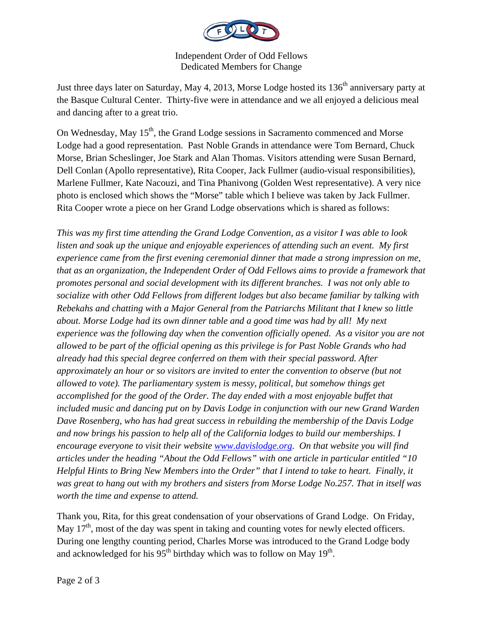

Independent Order of Odd Fellows Dedicated Members for Change

Just three days later on Saturday, May 4, 2013, Morse Lodge hosted its 136<sup>th</sup> anniversary party at the Basque Cultural Center. Thirty-five were in attendance and we all enjoyed a delicious meal and dancing after to a great trio.

On Wednesday, May  $15<sup>th</sup>$ , the Grand Lodge sessions in Sacramento commenced and Morse Lodge had a good representation. Past Noble Grands in attendance were Tom Bernard, Chuck Morse, Brian Scheslinger, Joe Stark and Alan Thomas. Visitors attending were Susan Bernard, Dell Conlan (Apollo representative), Rita Cooper, Jack Fullmer (audio-visual responsibilities), Marlene Fullmer, Kate Nacouzi, and Tina Phanivong (Golden West representative). A very nice photo is enclosed which shows the "Morse" table which I believe was taken by Jack Fullmer. Rita Cooper wrote a piece on her Grand Lodge observations which is shared as follows:

*This was my first time attending the Grand Lodge Convention, as a visitor I was able to look listen and soak up the unique and enjoyable experiences of attending such an event. My first experience came from the first evening ceremonial dinner that made a strong impression on me, that as an organization, the Independent Order of Odd Fellows aims to provide a framework that promotes personal and social development with its different branches. I was not only able to socialize with other Odd Fellows from different lodges but also became familiar by talking with Rebekahs and chatting with a Major General from the Patriarchs Militant that I knew so little about. Morse Lodge had its own dinner table and a good time was had by all! My next experience was the following day when the convention officially opened. As a visitor you are not allowed to be part of the official opening as this privilege is for Past Noble Grands who had already had this special degree conferred on them with their special password. After approximately an hour or so visitors are invited to enter the convention to observe (but not allowed to vote). The parliamentary system is messy, political, but somehow things get accomplished for the good of the Order. The day ended with a most enjoyable buffet that included music and dancing put on by Davis Lodge in conjunction with our new Grand Warden Dave Rosenberg, who has had great success in rebuilding the membership of the Davis Lodge and now brings his passion to help all of the California lodges to build our memberships. I encourage everyone to visit their website www.davislodge.org. On that website you will find articles under the heading "About the Odd Fellows" with one article in particular entitled "10 Helpful Hints to Bring New Members into the Order" that I intend to take to heart. Finally, it was great to hang out with my brothers and sisters from Morse Lodge No.257. That in itself was worth the time and expense to attend.* 

Thank you, Rita, for this great condensation of your observations of Grand Lodge. On Friday, May  $17<sup>th</sup>$ , most of the day was spent in taking and counting votes for newly elected officers. During one lengthy counting period, Charles Morse was introduced to the Grand Lodge body and acknowledged for his  $95<sup>th</sup>$  birthday which was to follow on May  $19<sup>th</sup>$ .